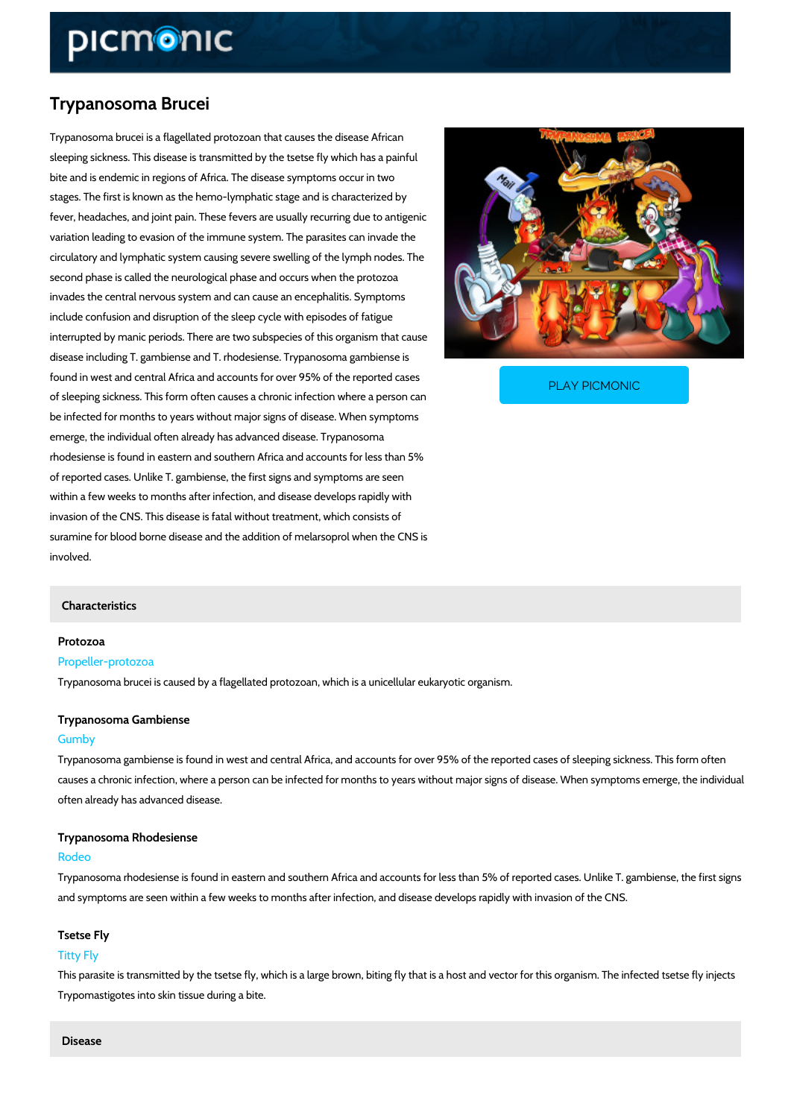# Trypanosoma Brucei

Trypanosoma brucei is a flagellated protozoan that causes the disease African sleeping sickness. This disease is transmitted by the tsetse fly which has a painful bite and is endemic in regions of Africa. The disease symptoms occur in two stages. The first is known as the hemo-lymphatic stage and is characterized by fever, headaches, and joint pain. These fevers are usually recurring due to antigenic variation leading to evasion of the immune system. The parasites can invade the circulatory and lymphatic system causing severe swelling of the lymph nodes. The second phase is called the neurological phase and occurs when the protozoa invades the central nervous system and can cause an encephalitis. Symptoms include confusion and disruption of the sleep cycle with episodes of fatigue interrupted by manic periods. There are two subspecies of this organism that cause disease including T. gambiense and T. rhodesiense. Trypanosoma gambiense is

found in west and central Africa and accounts for over 95 of sleeping sickness. This form often causes a chronic infection where a person can person can be a person can

be infected for months to years without major signs of disease. When symptoms emerge, the individual often already has advanced disease. Trypanosoma rhodesiense is found in eastern and southern Africa and accounts for less than 5% of reported cases. Unlike T. gambiense, the first signs and symptoms are seen within a few weeks to months after infection, and disease develops rapidly with invasion of the CNS. This disease is fatal without treatment, which consists of suramine for blood borne disease and the addition of melarsoprol when the CNS is involved.

## Characteristics

## Protozoa

## Propeller-protozoa

Trypanosoma brucei is caused by a flagellated protozoan, which is a unicellular eukaryotic or

PLAY PICMONIC

## Trypanosoma Gambiense

#### Gumby

Trypanosoma gambiense is found in west and central Africa, and accounts for over 95% of the causes a chronic infection, where a person can be infected for months to years without major often already has advanced disease.

## Trypanosoma Rhodesiense

## Rodeo

Trypanosoma rhodesiense is found in eastern and southern Africa and accounts for less than ! and symptoms are seen within a few weeks to months after infection, and disease develops ra

## Tsetse Fly

## Titty Fly

This parasite is transmitted by the tsetse fly, which is a large brown, biting fly that is a host Trypomastigotes into skin tissue during a bite.